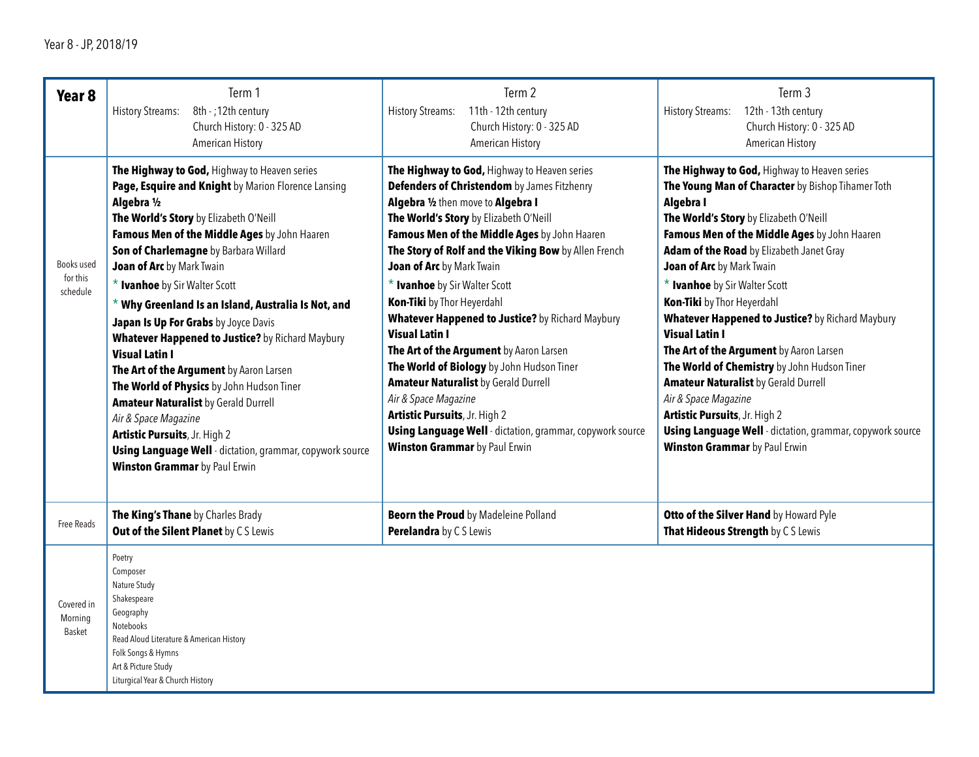| Year <sub>8</sub><br>Books used<br>for this<br>schedule | Term 1<br><b>History Streams:</b><br>8th - ; 12th century<br>Church History: 0 - 325 AD<br><b>American History</b><br>The Highway to God, Highway to Heaven series<br>Page, Esquire and Knight by Marion Florence Lansing<br>Algebra 1/2<br>The World's Story by Elizabeth O'Neill<br>Famous Men of the Middle Ages by John Haaren<br>Son of Charlemagne by Barbara Willard<br>Joan of Arc by Mark Twain<br>* Ivanhoe by Sir Walter Scott<br>$*$ Why Greenland Is an Island, Australia Is Not, and<br>Japan Is Up For Grabs by Joyce Davis<br>Whatever Happened to Justice? by Richard Maybury<br><b>Visual Latin I</b><br>The Art of the Argument by Aaron Larsen<br>The World of Physics by John Hudson Tiner<br><b>Amateur Naturalist by Gerald Durrell</b><br>Air & Space Magazine<br>Artistic Pursuits, Jr. High 2<br><b>Using Language Well</b> - dictation, grammar, copywork source<br><b>Winston Grammar</b> by Paul Erwin | Term 2<br><b>History Streams:</b><br>11th - 12th century<br>Church History: 0 - 325 AD<br><b>American History</b><br>The Highway to God, Highway to Heaven series<br>Defenders of Christendom by James Fitzhenry<br>Algebra 1/2 then move to Algebra I<br>The World's Story by Elizabeth O'Neill<br>Famous Men of the Middle Ages by John Haaren<br>The Story of Rolf and the Viking Bow by Allen French<br>Joan of Arc by Mark Twain<br>* Ivanhoe by Sir Walter Scott<br>Kon-Tiki by Thor Heyerdahl<br>Whatever Happened to Justice? by Richard Maybury<br><b>Visual Latin I</b><br>The Art of the Argument by Aaron Larsen<br>The World of Biology by John Hudson Tiner<br><b>Amateur Naturalist by Gerald Durrell</b><br>Air & Space Magazine<br>Artistic Pursuits, Jr. High 2<br><b>Using Language Well</b> - dictation, grammar, copywork source<br><b>Winston Grammar</b> by Paul Erwin | Term 3<br><b>History Streams:</b><br>12th - 13th century<br>Church History: 0 - 325 AD<br>American History<br>The Highway to God, Highway to Heaven series<br>The Young Man of Character by Bishop Tihamer Toth<br>Algebra I<br>The World's Story by Elizabeth O'Neill<br>Famous Men of the Middle Ages by John Haaren<br>Adam of the Road by Elizabeth Janet Gray<br>Joan of Arc by Mark Twain<br>* Ivanhoe by Sir Walter Scott<br>Kon-Tiki by Thor Heyerdahl<br>Whatever Happened to Justice? by Richard Maybury<br><b>Visual Latin I</b><br>The Art of the Argument by Aaron Larsen<br>The World of Chemistry by John Hudson Tiner<br><b>Amateur Naturalist by Gerald Durrell</b><br>Air & Space Magazine<br>Artistic Pursuits, Jr. High 2<br>Using Language Well - dictation, grammar, copywork source<br><b>Winston Grammar</b> by Paul Erwin |  |  |  |  |
|---------------------------------------------------------|-------------------------------------------------------------------------------------------------------------------------------------------------------------------------------------------------------------------------------------------------------------------------------------------------------------------------------------------------------------------------------------------------------------------------------------------------------------------------------------------------------------------------------------------------------------------------------------------------------------------------------------------------------------------------------------------------------------------------------------------------------------------------------------------------------------------------------------------------------------------------------------------------------------------------------------|-----------------------------------------------------------------------------------------------------------------------------------------------------------------------------------------------------------------------------------------------------------------------------------------------------------------------------------------------------------------------------------------------------------------------------------------------------------------------------------------------------------------------------------------------------------------------------------------------------------------------------------------------------------------------------------------------------------------------------------------------------------------------------------------------------------------------------------------------------------------------------------------------|----------------------------------------------------------------------------------------------------------------------------------------------------------------------------------------------------------------------------------------------------------------------------------------------------------------------------------------------------------------------------------------------------------------------------------------------------------------------------------------------------------------------------------------------------------------------------------------------------------------------------------------------------------------------------------------------------------------------------------------------------------------------------------------------------------------------------------------------------|--|--|--|--|
| <b>Free Reads</b>                                       | The King's Thane by Charles Brady<br>Out of the Silent Planet by CS Lewis                                                                                                                                                                                                                                                                                                                                                                                                                                                                                                                                                                                                                                                                                                                                                                                                                                                           | <b>Beorn the Proud</b> by Madeleine Polland<br>Perelandra by CS Lewis                                                                                                                                                                                                                                                                                                                                                                                                                                                                                                                                                                                                                                                                                                                                                                                                                         | Otto of the Silver Hand by Howard Pyle<br>That Hideous Strength by CS Lewis                                                                                                                                                                                                                                                                                                                                                                                                                                                                                                                                                                                                                                                                                                                                                                        |  |  |  |  |
| Covered in<br>Morning<br>Basket                         | Poetry<br>Composer<br>Nature Study<br>Shakespeare<br>Geography<br>Notebooks<br>Read Aloud Literature & American History<br>Folk Songs & Hymns<br>Art & Picture Study<br>Liturgical Year & Church History                                                                                                                                                                                                                                                                                                                                                                                                                                                                                                                                                                                                                                                                                                                            |                                                                                                                                                                                                                                                                                                                                                                                                                                                                                                                                                                                                                                                                                                                                                                                                                                                                                               |                                                                                                                                                                                                                                                                                                                                                                                                                                                                                                                                                                                                                                                                                                                                                                                                                                                    |  |  |  |  |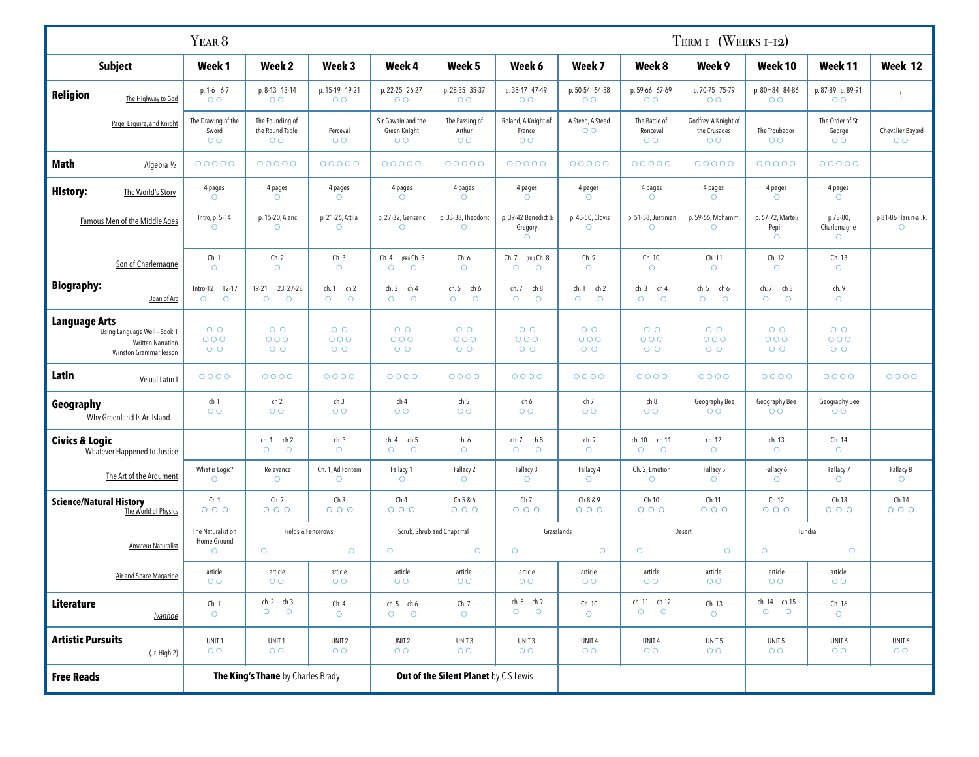| TERM I (WEEKS I-I2)<br>YEAR <sup>8</sup>                                                            |                                               |                                                      |                                     |                                                      |                                            |                                                 |                                    |                                             |                                                        |                                       |                                              |                                    |
|-----------------------------------------------------------------------------------------------------|-----------------------------------------------|------------------------------------------------------|-------------------------------------|------------------------------------------------------|--------------------------------------------|-------------------------------------------------|------------------------------------|---------------------------------------------|--------------------------------------------------------|---------------------------------------|----------------------------------------------|------------------------------------|
| <b>Subject</b>                                                                                      | Week <sub>1</sub>                             | Week <sub>2</sub>                                    | Week <sub>3</sub>                   | Week 4                                               | Week <sub>5</sub>                          | Week 6                                          | Week 7                             | Week 8                                      | Week 9                                                 | Week 10                               | Week 11                                      | Week 12                            |
| Religion<br>The Highway to God                                                                      | $p. 1-6 6-7$<br>O <sub>O</sub>                | p. 8-13 13-14<br>O <sub>O</sub>                      | p. 15-19 19-21<br>O <sub>O</sub>    | p. 22-25 26-27<br>O <sub>O</sub>                     | p. 28-35 35-37<br>O O                      | p. 38-47 47-49<br>O <sub>O</sub>                | p. 50-54 54-58<br>O <sub>O</sub>   | p. 59-66 67-69<br>O <sub>O</sub>            | p. 70-75 75-79<br>$\overline{O}$                       | p. 80=84 84-86<br>O <sub>O</sub>      | p. 87-89 p. 89-91<br>O <sub>O</sub>          | $\sqrt{2}$                         |
| Page, Esquire, and Knight                                                                           | The Drawing of the<br>Sword<br>O <sub>O</sub> | The Founding of<br>the Round Table<br>O <sub>O</sub> | Perceval<br>O <sub>O</sub>          | Sir Gawain and the<br>Green Knight<br>O <sub>O</sub> | The Passing of<br>Arthur<br>$\overline{O}$ | Roland, A Knight of<br>France<br>O <sub>O</sub> | A Steed, A Steed<br>$\overline{O}$ | The Battle of<br>Ronceval<br>O <sub>O</sub> | Godfrey, A Knight of<br>the Crusades<br>$\overline{O}$ | The Troubador<br>O <sub>O</sub>       | The Order of St.<br>George<br>O <sub>O</sub> | Chevalier Bayard<br>O <sub>O</sub> |
| Math<br>Algebra 1/2                                                                                 | 00000                                         | 00000                                                | 00000                               | 00000                                                | 00000                                      | 00000                                           | 00000                              | 00000                                       | 00000                                                  | 00000                                 | 00000                                        |                                    |
| History:<br>The World's Story                                                                       | 4 pages<br>$\circ$                            | 4 pages<br>$\circ$                                   | 4 pages<br>$\circ$                  | 4 pages<br>$\circ$                                   | 4 pages<br>$\circ$                         | 4 pages<br>$\circ$                              | 4 pages<br>$\circ$                 | 4 pages<br>$\circ$                          | 4 pages<br>$\circ$                                     | 4 pages<br>$\circ$                    | 4 pages<br>$\circ$                           |                                    |
| Famous Men of the Middle Ages                                                                       | Intro, p. 5-14<br>$\circ$                     | p. 15-20, Alaric<br>$\circ$                          | p. 21-26, Attila<br>$\circ$         | p. 27-32, Genseric<br>$\circ$                        | p. 33-38, Theodoric<br>$\circ$             | p. 39-42 Benedict &<br>Gregory<br>$\circ$       | p. 43-50, Clovis<br>$\circ$        | p. 51-58, Justinian<br>$\circ$              | p. 59-66, Mohamm.<br>$\circ$                           | p. 67-72, Martel/<br>Pepin<br>$\circ$ | p 73-80,<br>Charlemagne<br>$\circ$           | p 81-86 Harun-al.R.<br>$\circ$     |
| Son of Charlemagne                                                                                  | Ch. 1<br>$\circ$                              | Ch.2<br>$\circ$                                      | Ch.3<br>$\circ$                     | Ch.4<br>(FRI) Ch. 5<br>$\circ$<br>$\circ$            | Ch.6<br>$\circ$                            | Ch.7<br>(FRI) Ch. 8<br>$\circ$<br>$\circ$       | Ch.9<br>$\circ$                    | Ch. 10<br>$\circ$                           | Ch. 11<br>$\circ$                                      | Ch. 12<br>$\circ$                     | Ch. 13<br>$\circ$                            |                                    |
| <b>Biography:</b><br>Joan of Arc                                                                    | Intro-12 12-17<br>$\circ$<br>$\circ$          | 19-21 23, 27-28<br>$\circ$<br>$\circ$                | ch. 1 ch 2<br>$\circ$<br>$\circ$    | ch.3<br>ch 4<br>$\circ$<br>$\circ$                   | ch. 5 ch 6<br>$\circ$<br>$\circ$           | ch. 7<br>ch 8<br>$\circ$<br>$\circ$             | ch. 1 ch 2<br>$\circ$<br>$\circ$   | ch. 3 ch 4<br>$\circ$<br>$\circ$            | ch.5<br>ch 6<br>$\circ$<br>$\circ$                     | ch. 7 ch 8<br>$\circ$<br>$\circ$      | ch. 9<br>$\circ$                             |                                    |
| <b>Language Arts</b><br>Using Language Well - Book 1<br>Written Narration<br>Winston Grammar lesson | $O$ O<br>000<br>$O$ $O$                       | $O$ O<br>000<br>$O$ $O$                              | $O$ $O$<br>000<br>$O$ O             | $O$ O<br>000<br>$O$ O                                | $O$ $O$<br>000<br>$O$ $O$                  | $O$ $O$<br>000<br>$O$ $O$                       | $O$ O<br>000<br>$O$ O              | $O$ $O$<br>000<br>$O$ $O$                   | $O$ O<br>000<br>$O$ O                                  | $O$ $O$<br>000<br>$O$ O               | $O$ O<br>000<br>$O$ O                        |                                    |
| Latin<br>Visual Latin I                                                                             | $0000$                                        | 0000                                                 | 0000                                | 0000                                                 | 0000                                       | 0000                                            | 0000                               | 0000                                        | 0000                                                   | 0000                                  | 0000                                         | 0000                               |
| Geography<br>Why Greenland Is An Island                                                             | ch 1<br>$\overline{O}$                        | ch <sub>2</sub><br>O <sub>O</sub>                    | ch <sub>3</sub><br>$\overline{O}$   | ch 4<br>O <sub>O</sub>                               | ch 5<br>$\overline{O}$                     | ch 6<br>O <sub>O</sub>                          | ch 7<br>$\overline{O}$             | ch 8<br>$\overline{O}$                      | Geography Bee<br>O <sub>O</sub>                        | Geography Bee<br>O <sub>O</sub>       | Geography Bee<br>$\circ$                     |                                    |
| <b>Civics &amp; Logic</b><br>Whatever Happened to Justice                                           |                                               | ch. 1<br>ch 2<br>$\circ$<br>$\circ$                  | ch.3<br>$\circ$                     | ch. 4<br>ch 5<br>$\circ$<br>$\circ$                  | ch. 6<br>$\circ$                           | ch. 7<br>ch 8<br>$\circ$<br>$\circ$             | ch. 9<br>$\circ$                   | ch. 10 ch 11<br>$\circ$<br>$\circ$          | ch. 12<br>$\circ$                                      | ch. 13<br>$\circ$                     | Ch. 14<br>$\circ$                            |                                    |
| The Art of the Argument                                                                             | What is Logic?<br>$\circ$                     | Relevance<br>$\circ$                                 | Ch. 1, Ad Fontem<br>$\circ$         | Fallacy 1<br>$\circ$                                 | Fallacy 2<br>$\circ$                       | Fallacy 3<br>$\circ$                            | Fallacy 4<br>$\circ$               | Ch. 2, Emotion<br>$\circ$                   | Fallacy 5<br>$\circ$                                   | Fallacy 6<br>$\circ$                  | Fallacy 7<br>$\circ$                         | Fallacy 8<br>$\circ$               |
| <b>Science/Natural History</b><br>The World of Physics                                              | Ch <sub>1</sub><br>000                        | Ch <sub>2</sub><br>$O$ $O$ $O$                       | Ch <sub>3</sub><br>000              | Ch 4<br>000                                          | Ch 5 & 6<br>000                            | Ch <sub>7</sub><br>000                          | Ch 8 & 9<br>000                    | Ch 10<br>$O$ $O$ $O$                        | Ch 11<br>000                                           | Ch 12<br>$O$ $O$ $O$                  | Ch 13<br>000                                 | Ch 14<br>000                       |
|                                                                                                     | The Naturalist on<br>Home Ground              | Fields & Fencerows                                   |                                     | Scrub, Shrub and Chaparral                           |                                            | Grasslands                                      |                                    | Desert                                      |                                                        | Tundra                                |                                              |                                    |
| Amateur Naturalist                                                                                  | $\circ$                                       | $\circ$                                              | $\circ$                             | $\circ$                                              | $\circ$                                    | $\circ$                                         | $\circ$                            | $\circ$                                     | $\circ$                                                | $\circ$                               | $\bigcirc$                                   |                                    |
| Air and Space Magazine                                                                              | article<br>$\circ$                            | article<br>$\circ$                                   | article<br>$\circ$                  | article<br>O O                                       | article<br>O <sub>O</sub>                  | article<br>$\circ$                              | article<br>$\circ$                 | article<br>O <sub>O</sub>                   | article<br>$\circ$                                     | article<br>$\circ$                    | article<br>O O                               |                                    |
| Literature<br><b>Ivanhoe</b>                                                                        | Ch. 1<br>$\circ$                              | $ch.2$ $ch.3$<br>$\circ$<br>$\circ$                  | Ch.4<br>$\circ$                     | $ch.5$ $ch 6$<br>$O$ $O$                             | Ch.7<br>$\circ$                            | ch. 8 ch 9<br>$\circ$<br>$\circ$                | Ch. 10<br>$\circ$                  | ch. 11 ch 12<br>$\circ$<br>$\circ$          | Ch. 13<br>$\circ$                                      | ch. 14 ch 15<br>$\circ$<br>$\circ$    | Ch. 16<br>$\circ$                            |                                    |
| <b>Artistic Pursuits</b><br>(Jr. High 2)                                                            | UNIT <sub>1</sub><br>O O                      | UNIT1<br>O <sub>O</sub>                              | UNIT <sub>2</sub><br>$\overline{O}$ | UNIT <sub>2</sub><br>O <sub>O</sub>                  | UNIT <sub>3</sub><br>O O                   | UNIT <sub>3</sub><br>O <sub>O</sub>             | UNIT4<br>$\overline{O}$            | UNIT4<br>O O                                | UNIT <sub>5</sub><br>$\overline{O}$                    | UNIT <sub>5</sub><br>O <sub>O</sub>   | UNIT 6<br>O <sub>O</sub>                     | UNIT 6<br>O <sub>O</sub>           |
| <b>Free Reads</b>                                                                                   |                                               | The King's Thane by Charles Brady                    |                                     |                                                      | Out of the Silent Planet by CS Lewis       |                                                 |                                    |                                             |                                                        |                                       |                                              |                                    |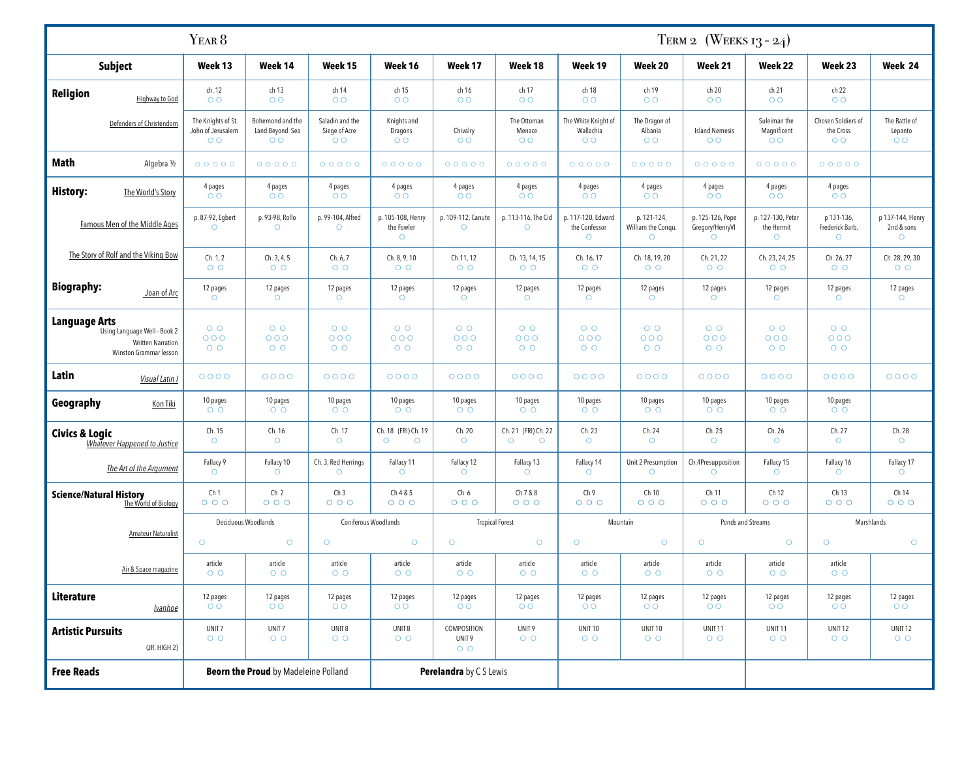|                                                                                                     |                                                           | TERM 2 (WEEKS $13 - 24$ )                             |                                                    |                                            |                                  |                                           |                                                    |                                              |                                                |                                               |                                                   |                                            |
|-----------------------------------------------------------------------------------------------------|-----------------------------------------------------------|-------------------------------------------------------|----------------------------------------------------|--------------------------------------------|----------------------------------|-------------------------------------------|----------------------------------------------------|----------------------------------------------|------------------------------------------------|-----------------------------------------------|---------------------------------------------------|--------------------------------------------|
| <b>Subject</b>                                                                                      | Week 13                                                   | Week 14                                               | Week 15                                            | Week 16                                    | Week 17                          | Week 18                                   | Week 19                                            | Week 20                                      | Week 21                                        | Week 22                                       | Week 23                                           | Week 24                                    |
| Religion<br><b>Highway to God</b>                                                                   | ch. 12<br>$O$ O                                           | ch 13<br>O <sub>O</sub>                               | ch 14<br>O O                                       | ch 15<br>O <sub>O</sub>                    | ch 16<br>O <sub>O</sub>          | ch 17<br>O <sub>O</sub>                   | ch 18<br>O O                                       | ch 19<br>O <sub>O</sub>                      | ch 20<br>$\overline{O}$                        | ch 21<br>O <sub>O</sub>                       | ch 22<br>$\circ$                                  |                                            |
| Defenders of Christendom                                                                            | The Knights of St.<br>John of Jerusalem<br>O <sub>O</sub> | Bohemond and the<br>Land Beyond Sea<br>O <sub>O</sub> | Saladin and the<br>Siege of Acre<br>O <sub>O</sub> | Knights and<br>Dragons<br>O <sub>O</sub>   | Chivalry<br>$\overline{O}$       | The Ottoman<br>Menace<br>O <sub>O</sub>   | The White Knight of<br>Wallachia<br>O <sub>O</sub> | The Dragon of<br>Albania<br>O <sub>O</sub>   | <b>Island Nemesis</b><br>O <sub>O</sub>        | Suleiman the<br>Magnificent<br>O <sub>O</sub> | Chosen Soldiers of<br>the Cross<br>O <sub>O</sub> | The Battle of<br>Lepanto<br>O <sub>O</sub> |
| Math<br>Algebra 1/2                                                                                 | 00000                                                     | 00000                                                 | 00000                                              | 00000                                      | 00000                            | 00000                                     | 00000                                              | 00000                                        | 00000                                          | 00000                                         | 00000                                             |                                            |
| <b>History:</b><br>The World's Story                                                                | 4 pages<br>O <sub>O</sub>                                 | 4 pages<br>O <sub>O</sub>                             | 4 pages<br>$O$ O                                   | 4 pages<br>O <sub>O</sub>                  | 4 pages<br>O O                   | 4 pages<br>O <sub>O</sub>                 | 4 pages<br>$\overline{O}$                          | 4 pages<br>O <sub>O</sub>                    | 4 pages<br>O <sub>O</sub>                      | 4 pages<br>O <sub>O</sub>                     | 4 pages<br>O <sub>O</sub>                         |                                            |
| Famous Men of the Middle Ages                                                                       | p. 87-92, Egbert<br>$\circ$                               | p. 93-98, Rollo<br>$\circ$                            | p. 99-104, Alfred<br>$\circ$                       | p. 105-108, Henry<br>the Fowler<br>$\circ$ | p. 109-112, Canute<br>$\circ$    | p. 113-116, The Cid<br>$\circ$            | p. 117-120, Edward<br>the Confessor<br>$\circ$     | p. 121-124,<br>William the Conqu.<br>$\circ$ | p. 125-126, Pope<br>Gregory/HenryVI<br>$\circ$ | p. 127-130, Peter<br>the Hermit<br>$\circ$    | p 131-136,<br>Frederick Barb.<br>$\circ$          | p 137-144, Henry<br>2nd & sons<br>$\circ$  |
| The Story of Rolf and the Viking Bow                                                                | Ch. 1, 2<br>$O$ O                                         | Ch. 3, 4, 5<br>$O$ $O$                                | Ch. 6, 7<br>$O$ $O$                                | Ch. 8, 9, 10<br>$O$ O                      | Ch.11, 12<br>$O$ $O$             | Ch. 13, 14, 15<br>$O$ O                   | Ch. 16, 17<br>$O$ O                                | Ch. 18, 19, 20<br>$O$ O                      | Ch. 21, 22<br>$O$ O                            | Ch. 23, 24, 25<br>$O$ O                       | Ch. 26, 27<br>$O$ $O$                             | Ch. 28, 29, 30<br>$O$ O                    |
| <b>Biography:</b><br>Joan of Arc                                                                    | 12 pages<br>$\circ$                                       | 12 pages<br>$\circ$                                   | 12 pages<br>$\circ$                                | 12 pages<br>$\circ$                        | 12 pages<br>$\circ$              | 12 pages<br>$\circ$                       | 12 pages<br>$\circ$                                | 12 pages<br>$\circ$                          | 12 pages<br>$\circ$                            | 12 pages<br>$\circ$                           | 12 pages<br>$\circ$                               | 12 pages<br>$\circ$                        |
| <b>Language Arts</b><br>Using Language Well - Book 2<br>Written Narration<br>Winston Grammar lesson | $O$ $O$<br>000<br>$O$ $O$                                 | $O$ O<br>000<br>$O$ $O$                               | $O$ $O$<br>000<br>$O$ O                            | $O$ O<br>000<br>$O$ O                      | $O$ $O$<br>000<br>$O$ $O$        | $O$ $O$<br>000<br>$O$ O                   | $O$ $O$<br>000<br>$O$ O                            | $O$ $O$<br>000<br>$O$ $O$                    | $O$ O<br>000<br>$O$ O                          | $O$ O<br>000<br>$O$ O                         | $O$ O<br>000<br>$O$ O                             |                                            |
| Latin<br>Visual Latin I                                                                             | $0000$                                                    | 0000                                                  | $0000$                                             | 0000                                       | 0000                             | 0000                                      | 0000                                               | 0000                                         | 0000                                           | 0000                                          | 0000                                              | 0000                                       |
| Geography<br>Kon Tiki                                                                               | 10 pages<br>$O$ $O$                                       | 10 pages<br>$O$ O                                     | 10 pages<br>$O$ O                                  | 10 pages<br>$O$ O                          | 10 pages<br>$O$ $O$              | 10 pages<br>$O$ O                         | 10 pages<br>$O$ O                                  | 10 pages<br>$O$ O                            | 10 pages<br>$O$ O                              | 10 pages<br>$O$ $O$                           | 10 pages<br>$O$ $O$                               |                                            |
| <b>Civics &amp; Logic</b><br><b>Whatever Happened to Justice</b>                                    | Ch. 15<br>$\circ$                                         | Ch. 16<br>$\circ$                                     | Ch. 17<br>$\circ$                                  | Ch. 18 (FRI) Ch. 19<br>$\circ$<br>$\circ$  | Ch. 20<br>$\circ$                | Ch. 21 (FRI) Ch. 22<br>$\circ$<br>$\circ$ | Ch. 23<br>$\circ$                                  | Ch. 24<br>$\circ$                            | Ch. 25<br>$\circ$                              | Ch. 26<br>$\circ$                             | Ch. 27<br>$\circ$                                 | Ch. 28<br>$\circ$                          |
| The Art of the Argument                                                                             | Fallacy 9<br>$\circ$                                      | Fallacy 10<br>$\circ$                                 | Ch. 3, Red Herrings<br>$\circ$                     | Fallacy 11<br>$\circ$                      | Fallacy 12<br>$\circ$            | Fallacy 13<br>$\circ$                     | Fallacy 14<br>$\circ$                              | Unit 2 Presumption<br>$\circ$                | Ch.4Presupposition<br>$\circ$                  | Fallacy 15<br>$\circ$                         | Fallacy 16<br>$\circ$                             | Fallacy 17<br>$\circ$                      |
| <b>Science/Natural History</b><br>The World of Biology                                              | Ch <sub>1</sub><br>000                                    | Ch <sub>2</sub><br>$O$ $O$ $O$                        | Ch <sub>3</sub><br>000                             | Ch 4 & 5<br>$O$ $O$ $O$                    | Ch 6<br>000                      | Ch 7 & 8<br>$O$ $O$ $O$                   | Ch 9<br>$O$ $O$ $O$                                | Ch 10<br>$O$ $O$ $O$                         | Ch 11<br>000                                   | Ch 12<br>$O$ $O$ $O$                          | Ch 13<br>000                                      | Ch 14<br>000                               |
| Amateur Naturalist                                                                                  | Deciduous Woodlands                                       |                                                       | Coniferous Woodlands<br><b>Tropical Forest</b>     |                                            | Mountain                         |                                           | Ponds and Streams                                  |                                              | Marshlands                                     |                                               |                                                   |                                            |
|                                                                                                     | $\circ$                                                   | $\circ$                                               | $\circ$                                            | $\circ$                                    | $\circ$                          | $\circ$                                   | $\circ$                                            | $\circ$                                      | $\circ$                                        | $\circ$                                       | $\circ$                                           | $\circ$                                    |
| Air & Space magazine                                                                                | article<br>$O$ $O$                                        | article<br>$O$ $O$                                    | article<br>$O$ $O$                                 | article<br>$O$ O                           | article<br>$O$ $O$               | article<br>$O$ $O$                        | article<br>$O$ $O$                                 | article<br>$O$ $O$                           | article<br>$O$ $O$                             | article<br>$O$ O                              | article<br>$O$ $O$                                |                                            |
| Literature<br><b>Ivanhoe</b>                                                                        | 12 pages<br>$\circ$                                       | 12 pages<br>O <sub>O</sub>                            | 12 pages<br>O <sub>O</sub>                         | 12 pages<br>O <sub>O</sub>                 | 12 pages<br>O O                  | 12 pages<br>O <sub>O</sub>                | 12 pages<br>$\circ$                                | 12 pages<br>O O                              | 12 pages<br>$\circ$                            | 12 pages<br>O <sub>O</sub>                    | 12 pages<br>O O                                   | 12 pages<br>$\circ$                        |
| <b>Artistic Pursuits</b><br>(JR. HIGH 2)                                                            | UNIT <sub>7</sub><br>$O$ O                                | UNIT <sub>7</sub><br>$O$ $O$                          | UNIT8<br>$O$ $O$                                   | UNIT8<br>$O$ O                             | COMPOSITION<br>UNIT 9<br>$O$ $O$ | UNIT 9<br>$O$ O                           | <b>UNIT 10</b><br>$O$ O                            | <b>UNIT 10</b><br>$O$ $O$                    | UNIT <sub>11</sub><br>$O$ $O$                  | <b>UNIT11</b><br>$O$ $O$                      | <b>UNIT12</b><br>$O$ $O$                          | <b>UNIT 12</b><br>$O$ $O$                  |
| <b>Free Reads</b>                                                                                   |                                                           | <b>Beorn the Proud</b> by Madeleine Polland           |                                                    |                                            | Perelandra by C S Lewis          |                                           |                                                    |                                              |                                                |                                               |                                                   |                                            |